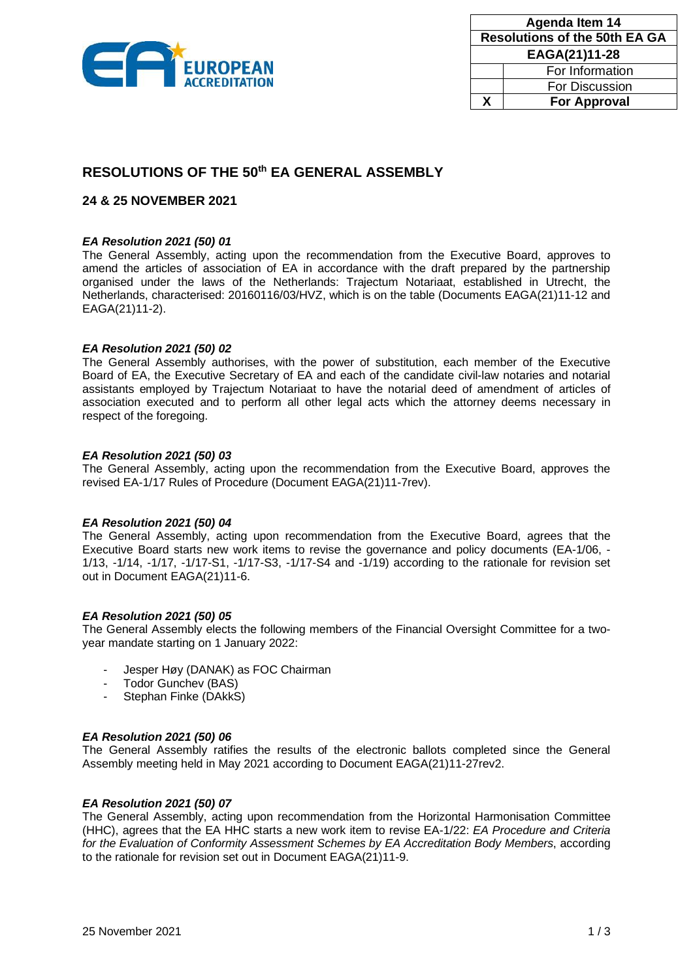

| Agenda Item 14                       |                       |
|--------------------------------------|-----------------------|
| <b>Resolutions of the 50th EA GA</b> |                       |
| EAGA(21)11-28                        |                       |
|                                      | For Information       |
|                                      | <b>For Discussion</b> |
| x                                    | <b>For Approval</b>   |

# **RESOLUTIONS OF THE 50th EA GENERAL ASSEMBLY**

# **24 & 25 NOVEMBER 2021**

# *EA Resolution 2021 (50) 01*

The General Assembly, acting upon the recommendation from the Executive Board, approves to amend the articles of association of EA in accordance with the draft prepared by the partnership organised under the laws of the Netherlands: Trajectum Notariaat, established in Utrecht, the Netherlands, characterised: 20160116/03/HVZ, which is on the table (Documents EAGA(21)11-12 and EAGA(21)11-2).

## *EA Resolution 2021 (50) 02*

The General Assembly authorises, with the power of substitution, each member of the Executive Board of EA, the Executive Secretary of EA and each of the candidate civil-law notaries and notarial assistants employed by Trajectum Notariaat to have the notarial deed of amendment of articles of association executed and to perform all other legal acts which the attorney deems necessary in respect of the foregoing.

## *EA Resolution 2021 (50) 03*

The General Assembly, acting upon the recommendation from the Executive Board, approves the revised EA-1/17 Rules of Procedure (Document EAGA(21)11-7rev).

### *EA Resolution 2021 (50) 04*

The General Assembly, acting upon recommendation from the Executive Board, agrees that the Executive Board starts new work items to revise the governance and policy documents (EA-1/06, - 1/13, -1/14, -1/17, -1/17-S1, -1/17-S3, -1/17-S4 and -1/19) according to the rationale for revision set out in Document EAGA(21)11-6.

### *EA Resolution 2021 (50) 05*

The General Assembly elects the following members of the Financial Oversight Committee for a twoyear mandate starting on 1 January 2022:

- Jesper Høy (DANAK) as FOC Chairman
- Todor Gunchev (BAS)
- Stephan Finke (DAkkS)

### *EA Resolution 2021 (50) 06*

The General Assembly ratifies the results of the electronic ballots completed since the General Assembly meeting held in May 2021 according to Document EAGA(21)11-27rev2.

# *EA Resolution 2021 (50) 07*

The General Assembly, acting upon recommendation from the Horizontal Harmonisation Committee (HHC), agrees that the EA HHC starts a new work item to revise EA-1/22: *EA Procedure and Criteria for the Evaluation of Conformity Assessment Schemes by EA Accreditation Body Members*, according to the rationale for revision set out in Document EAGA(21)11-9.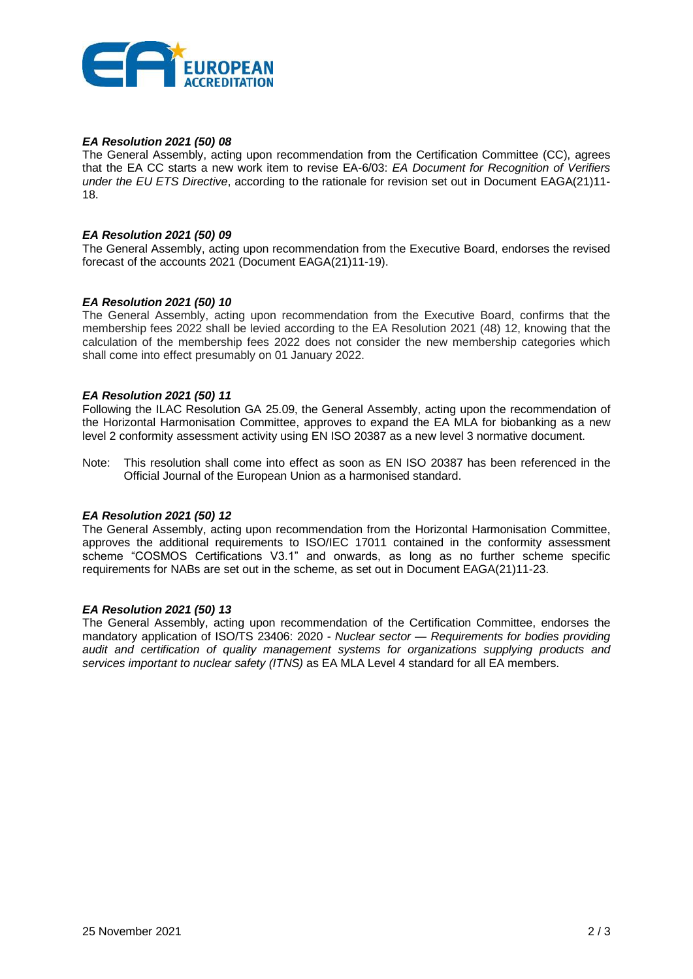

# *EA Resolution 2021 (50) 08*

The General Assembly, acting upon recommendation from the Certification Committee (CC), agrees that the EA CC starts a new work item to revise EA-6/03: *EA Document for Recognition of Verifiers under the EU ETS Directive*, according to the rationale for revision set out in Document EAGA(21)11- 18.

## *EA Resolution 2021 (50) 09*

The General Assembly, acting upon recommendation from the Executive Board, endorses the revised forecast of the accounts 2021 (Document EAGA(21)11-19).

# *EA Resolution 2021 (50) 10*

The General Assembly, acting upon recommendation from the Executive Board, confirms that the membership fees 2022 shall be levied according to the EA Resolution 2021 (48) 12, knowing that the calculation of the membership fees 2022 does not consider the new membership categories which shall come into effect presumably on 01 January 2022.

## *EA Resolution 2021 (50) 11*

Following the ILAC Resolution GA 25.09, the General Assembly, acting upon the recommendation of the Horizontal Harmonisation Committee, approves to expand the EA MLA for biobanking as a new level 2 conformity assessment activity using EN ISO 20387 as a new level 3 normative document.

Note: This resolution shall come into effect as soon as EN ISO 20387 has been referenced in the Official Journal of the European Union as a harmonised standard.

### *EA Resolution 2021 (50) 12*

The General Assembly, acting upon recommendation from the Horizontal Harmonisation Committee, approves the additional requirements to ISO/IEC 17011 contained in the conformity assessment scheme "COSMOS Certifications V3.1" and onwards, as long as no further scheme specific requirements for NABs are set out in the scheme, as set out in Document EAGA(21)11-23.

### *EA Resolution 2021 (50) 13*

The General Assembly, acting upon recommendation of the Certification Committee, endorses the mandatory application of ISO/TS 23406: 2020 - *Nuclear sector — Requirements for bodies providing audit and certification of quality management systems for organizations supplying products and services important to nuclear safety (ITNS)* as EA MLA Level 4 standard for all EA members.